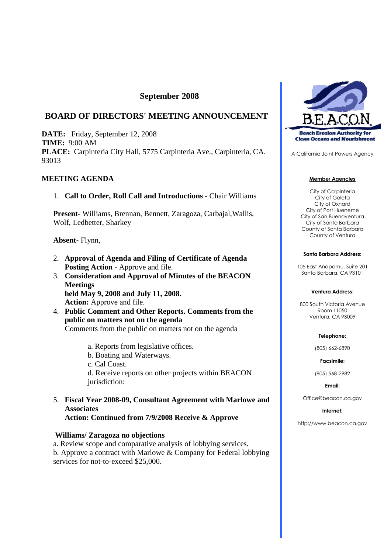# **September 2008**

# **BOARD OF DIRECTORS' MEETING ANNOUNCEMENT**

**DATE:** Friday, September 12, 2008 **TIME:** 9:00 AM **PLACE:** Carpinteria City Hall, 5775 Carpinteria Ave., Carpinteria, CA. 93013

## **MEETING AGENDA**

### 1. **Call to Order, Roll Call and Introductions** - Chair Williams

**Present**- Williams, Brennan, Bennett, Zaragoza, Carbajal,Wallis, Wolf, Ledbetter, Sharkey

**Absent**- Flynn,

- 2. **Approval of Agenda and Filing of Certificate of Agenda Posting Action** - Approve and file.
- 3. **Consideration and Approval of Minutes of the BEACON Meetings held May 9, 2008 and July 11, 2008.**

**Action:** Approve and file.

4. **Public Comment and Other Reports. Comments from the public on matters not on the agenda**

Comments from the public on matters not on the agenda

- a. Reports from legislative offices.
- b. Boating and Waterways.
- c. Cal Coast.

d. Receive reports on other projects within BEACON jurisdiction:

5. **Fiscal Year 2008-09, Consultant Agreement with Marlowe and Associates**

**Action: Continued from 7/9/2008 Receive & Approve**

### **Williams/ Zaragoza no objections**

a. Review scope and comparative analysis of lobbying services. b. Approve a contract with Marlowe & Company for Federal lobbying services for not-to-exceed \$25,000.



A California Joint Powers Agency

#### **Member Agencies**

City of Carpinteria City of Goleta City of Oxnard City of Port Hueneme City of San Buenaventura City of Santa Barbara County of Santa Barbara County of Ventura

#### **Santa Barbara Address:**

105 East Anapamu, Suite 201 Santa Barbara, CA 93101

#### **Ventura Address:**

800 South Victoria Avenue Room L1050 Ventura, CA 93009

#### **Telephone:**

(805) 662-6890

**Facsimile:**

(805) 568-2982

#### **Email:**

Office@beacon.ca.gov

### **Internet:**

http://www.beacon.ca.gov